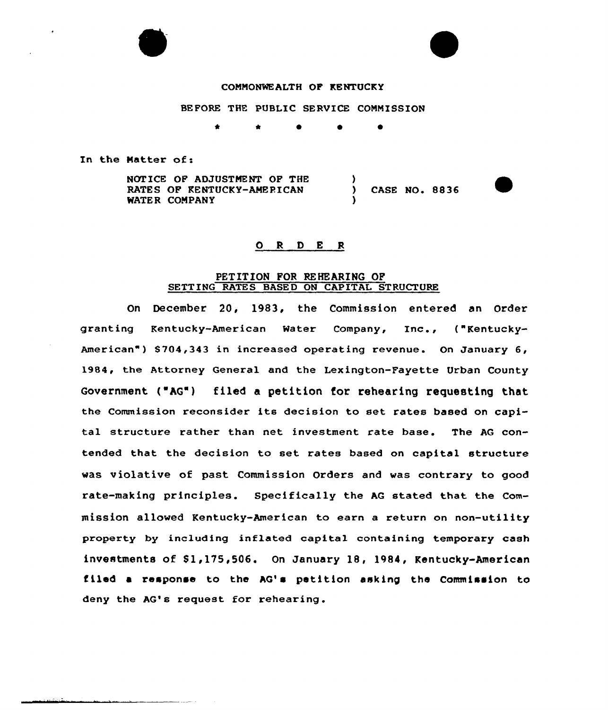

## CONNONWEALTH OF KENTUCKY

BEFORE THE PUBLIC SERVICE CONNISSION

\*

In the Natter of:

NOTICE OF ADJUSTMENT OF THE RATES OF KENTUCKY-AMERICAN WATER COMPANY ) CASE NO. 8836 )

#### 0 <sup>R</sup> <sup>D</sup> <sup>E</sup> <sup>R</sup>

#### PETITION FOR REHEARING OF SETTING RATES BASED ON CAPITAL STRUCTURE

On December 20, 1983, the Commission entered an Order granting Kentucky-American Water Company, Inc., ("Kentucky-American") \$704,343 in increased operating revenue. On January 6, 1984, the Attorney Genexal and the Lexington-Fayette Urban County Government ("AG") filed a petition tor rehearing requesting that the Commission reconsider its decision to set rates based on capital structuxe rather than net investment rate base. The AG contended that the decision to set xates based on capital structure was violative of past Commission Orders and was contrary to good rate-making principles. Specifically the AG stated that the Commission allowed Kentucky-American to earn a return on non-utility property by including inflated capital containing temporary cash investments of \$1,175,506. On January 18, 1984, Kentucky-American filed a response to the AG's petition asking the Commission to deny the AG's request for rehearing.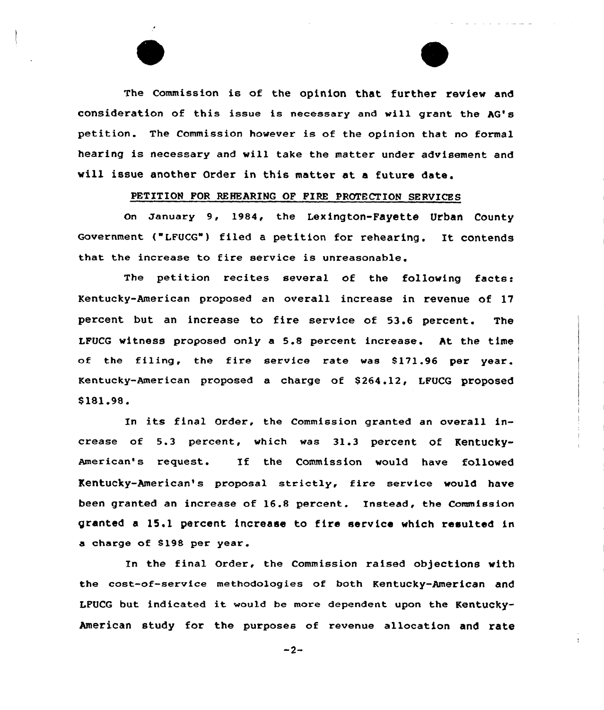The Commission is of the opinion that further review and consideration of this issue is necessary and vill grant the AG's petition. The Commission however is of the opinion that no formal hearing is necessary and will take the matter under advisement and vill issue another Order in this matter at <sup>a</sup> future date.

# PETITION FOR REHEARINQ OF FIRE PROTECTION SERVICES

On January 9, 1984, the Lexington-Fayette Urban County Government ( LFUCG") filed <sup>a</sup> petition for rehearing. It contends that the increase to fire service is unreasonable.

The petition recites several of the folloving facts: Kentucky-American proposed an overall increase in revenue of 17 percent but an increase to fire service of 53.6 percent. The LFUCG witness proposed only a 5.8 percent increase. At the time of the filing, the fire service rate was 8171.96 per year. Kentucky-American proposed a charge of \$ 264.12, LFUCG proposed \$ 181.98.

In its final Order, the Commission granted an overall increase of 5.3 percent, which was 31.3 percent of Kentucky-American's request. If the Commission vould have folloved Kentucky-American's proposal strictly, fire service vould have been granted an increase of 16.8 percent. Instead, the Commission granted a 15,1 percent increase to fire service which resulted in a charge of 8198 per year.

In the final order, the commission raised objections with the cost-of-service methodologies of both Kentucky-American and LPUCG but indicated it would be more dependent upon the Kentucky-American study for the purposes of revenue allocation and rate

 $-2-$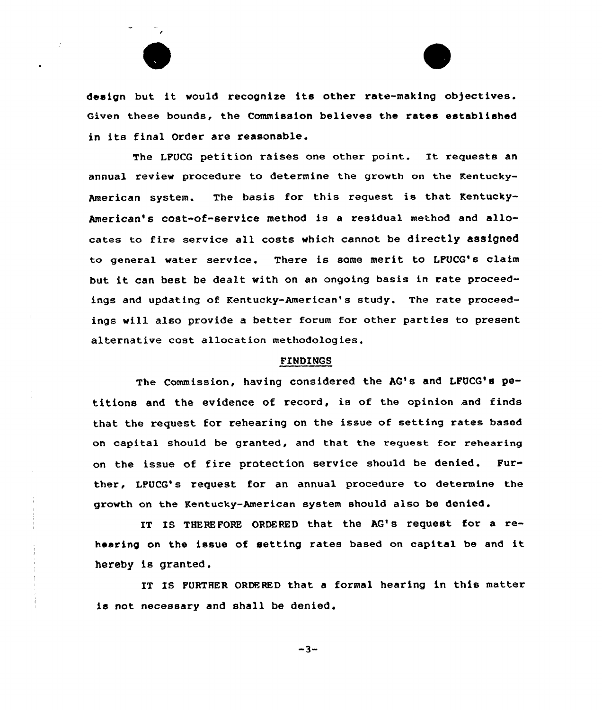

design but it would recognise its other rate-making objectives. Given these bounds, the Commission believes the rates established in its final Order are reasonable.

The LFUCG petition raises one other point. It requests an annual review procedure to determine the growth on the Kentucky-American system. The basis for this request is that Kentucky-American's cost-of-service method is a residual method and allocates to fire service all costs which cannot be directly assigned to general water service. There is some merit to LFUCG's claim but it can best be dealt with on an ongoing basis in rate proceedings and updating of Kentucky-American's study. The rate proceedings will also provide a better forum for other parties to present alternative cost allocation methodologies.

### FINDINGS

The Commission, having considered the AG's and LFUCQ's petitions and the evidence of record, is of the opinion and finds that the request for rehearing on the issue of setting rates based on capital should be granted, and that the request for rehearing on the issue of fire protection service should be denied. Further, LPUCG's request for an annual procedure to determine the growth on the Kentucky-American system should also be denied.

IT IS THEREFORE ORDERED that the AG's request for a rehearing on the issue of setting rates based on capital be and it hereby is granted.

IT IS FURTHER ORDERED that <sup>a</sup> formal hearing in this matter is not necessary and shall be denied.

 $-3-$